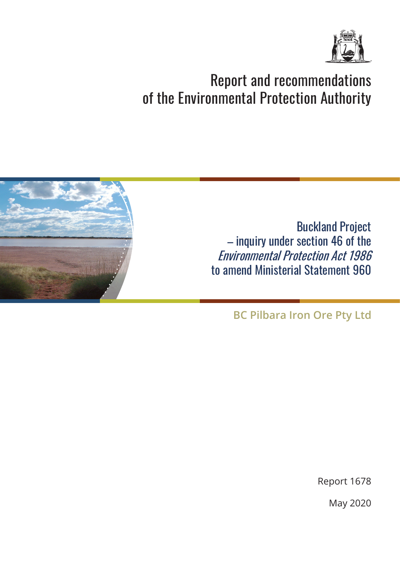

# Report and recommendations of the Environmental Protection Authority



Buckland Project – inquiry under section 46 of the Environmental Protection Act 1986 to amend Ministerial Statement 960

**BC Pilbara Iron Ore Pty Ltd**

Report 1678

May 2020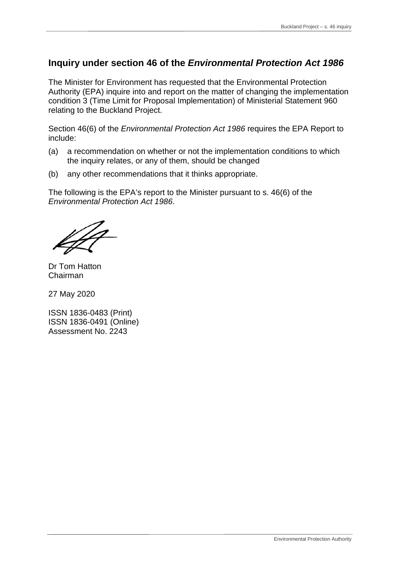### **Inquiry under section 46 of the** *Environmental Protection Act 1986*

The Minister for Environment has requested that the Environmental Protection Authority (EPA) inquire into and report on the matter of changing the implementation condition 3 (Time Limit for Proposal Implementation) of Ministerial Statement 960 relating to the Buckland Project.

Section 46(6) of the *Environmental Protection Act 1986* requires the EPA Report to include:

- (a) a recommendation on whether or not the implementation conditions to which the inquiry relates, or any of them, should be changed
- (b) any other recommendations that it thinks appropriate.

The following is the EPA's report to the Minister pursuant to s. 46(6) of the *Environmental Protection Act 1986*.

Dr Tom Hatton Chairman

27 May 2020

ISSN 1836-0483 (Print) ISSN 1836-0491 (Online) Assessment No. 2243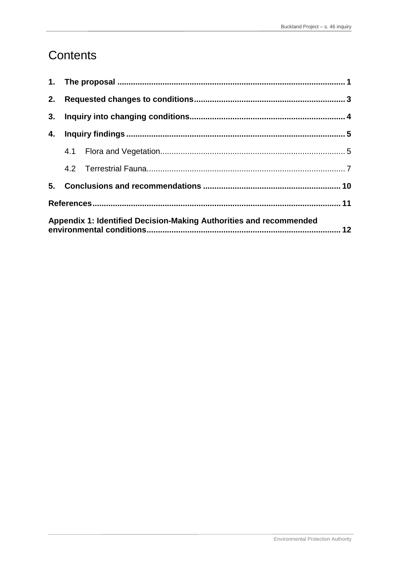## Contents

| 3.                                                                 |  |  |  |  |
|--------------------------------------------------------------------|--|--|--|--|
| 4.                                                                 |  |  |  |  |
|                                                                    |  |  |  |  |
|                                                                    |  |  |  |  |
|                                                                    |  |  |  |  |
|                                                                    |  |  |  |  |
| Appendix 1: Identified Decision-Making Authorities and recommended |  |  |  |  |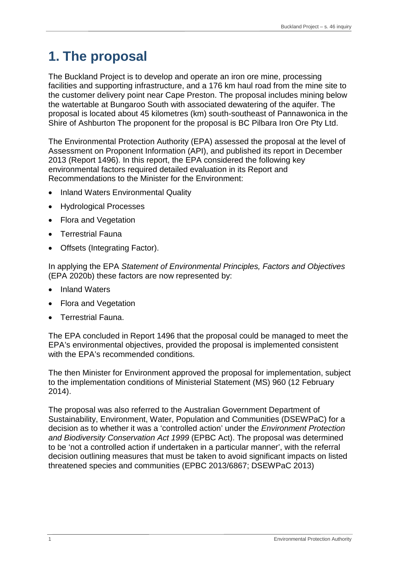# <span id="page-3-0"></span>**1. The proposal**

The Buckland Project is to develop and operate an iron ore mine, processing facilities and supporting infrastructure, and a 176 km haul road from the mine site to the customer delivery point near Cape Preston. The proposal includes mining below the watertable at Bungaroo South with associated dewatering of the aquifer. The proposal is located about 45 kilometres (km) south-southeast of Pannawonica in the Shire of Ashburton The proponent for the proposal is BC Pilbara Iron Ore Pty Ltd.

The Environmental Protection Authority (EPA) assessed the proposal at the level of Assessment on Proponent Information (API), and published its report in December 2013 (Report 1496). In this report, the EPA considered the following key environmental factors required detailed evaluation in its Report and Recommendations to the Minister for the Environment:

- Inland Waters Environmental Quality
- Hydrological Processes
- Flora and Vegetation
- Terrestrial Fauna
- Offsets (Integrating Factor).

In applying the EPA *Statement of Environmental Principles, Factors and Objectives* (EPA 2020b) these factors are now represented by:

- Inland Waters
- Flora and Vegetation
- Terrestrial Fauna.

The EPA concluded in Report 1496 that the proposal could be managed to meet the EPA's environmental objectives, provided the proposal is implemented consistent with the EPA's recommended conditions.

The then Minister for Environment approved the proposal for implementation, subject to the implementation conditions of Ministerial Statement (MS) 960 (12 February 2014).

The proposal was also referred to the Australian Government Department of Sustainability, Environment, Water, Population and Communities (DSEWPaC) for a decision as to whether it was a 'controlled action' under the *Environment Protection and Biodiversity Conservation Act 1999* (EPBC Act). The proposal was determined to be 'not a controlled action if undertaken in a particular manner', with the referral decision outlining measures that must be taken to avoid significant impacts on listed threatened species and communities (EPBC 2013/6867; DSEWPaC 2013)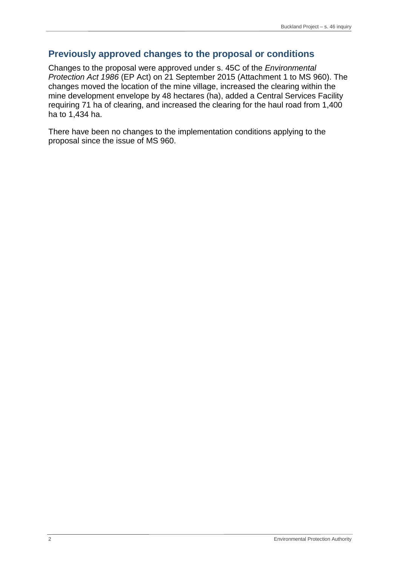### **Previously approved changes to the proposal or conditions**

Changes to the proposal were approved under s. 45C of the *Environmental Protection Act 1986* (EP Act) on 21 September 2015 (Attachment 1 to MS 960). The changes moved the location of the mine village, increased the clearing within the mine development envelope by 48 hectares (ha), added a Central Services Facility requiring 71 ha of clearing, and increased the clearing for the haul road from 1,400 ha to 1,434 ha.

There have been no changes to the implementation conditions applying to the proposal since the issue of MS 960.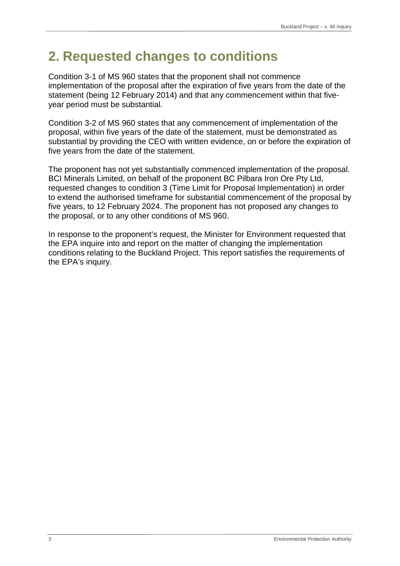## <span id="page-5-0"></span>**2. Requested changes to conditions**

Condition 3-1 of MS 960 states that the proponent shall not commence implementation of the proposal after the expiration of five years from the date of the statement (being 12 February 2014) and that any commencement within that fiveyear period must be substantial.

Condition 3-2 of MS 960 states that any commencement of implementation of the proposal, within five years of the date of the statement, must be demonstrated as substantial by providing the CEO with written evidence, on or before the expiration of five years from the date of the statement.

The proponent has not yet substantially commenced implementation of the proposal. BCI Minerals Limited, on behalf of the proponent BC Pilbara Iron Ore Pty Ltd, requested changes to condition 3 (Time Limit for Proposal Implementation) in order to extend the authorised timeframe for substantial commencement of the proposal by five years, to 12 February 2024. The proponent has not proposed any changes to the proposal, or to any other conditions of MS 960.

In response to the proponent's request, the Minister for Environment requested that the EPA inquire into and report on the matter of changing the implementation conditions relating to the Buckland Project. This report satisfies the requirements of the EPA's inquiry.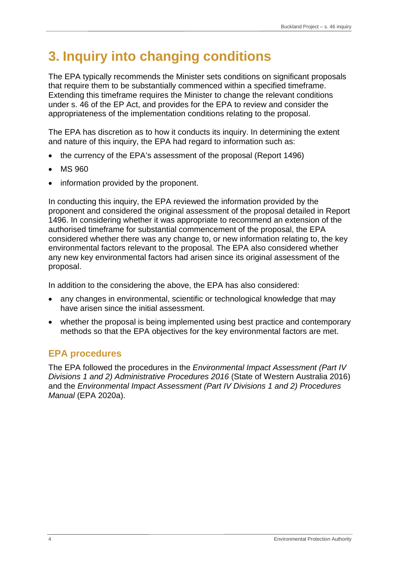# <span id="page-6-0"></span>**3. Inquiry into changing conditions**

The EPA typically recommends the Minister sets conditions on significant proposals that require them to be substantially commenced within a specified timeframe. Extending this timeframe requires the Minister to change the relevant conditions under s. 46 of the EP Act, and provides for the EPA to review and consider the appropriateness of the implementation conditions relating to the proposal.

The EPA has discretion as to how it conducts its inquiry. In determining the extent and nature of this inquiry, the EPA had regard to information such as:

- the currency of the EPA's assessment of the proposal (Report 1496)
- MS 960
- information provided by the proponent.

In conducting this inquiry, the EPA reviewed the information provided by the proponent and considered the original assessment of the proposal detailed in Report 1496. In considering whether it was appropriate to recommend an extension of the authorised timeframe for substantial commencement of the proposal, the EPA considered whether there was any change to, or new information relating to, the key environmental factors relevant to the proposal. The EPA also considered whether any new key environmental factors had arisen since its original assessment of the proposal.

In addition to the considering the above, the EPA has also considered:

- any changes in environmental, scientific or technological knowledge that may have arisen since the initial assessment.
- whether the proposal is being implemented using best practice and contemporary methods so that the EPA objectives for the key environmental factors are met.

## **EPA procedures**

The EPA followed the procedures in the *Environmental Impact Assessment (Part IV Divisions 1 and 2) Administrative Procedures 2016* (State of Western Australia 2016) and the *Environmental Impact Assessment (Part IV Divisions 1 and 2) Procedures Manual* (EPA 2020a).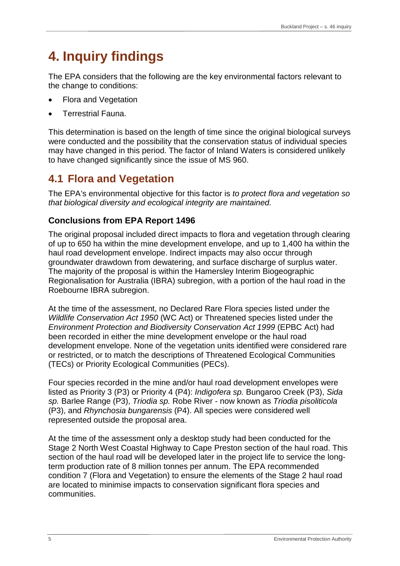# <span id="page-7-0"></span>**4. Inquiry findings**

The EPA considers that the following are the key environmental factors relevant to the change to conditions:

- Flora and Vegetation
- Terrestrial Fauna.

This determination is based on the length of time since the original biological surveys were conducted and the possibility that the conservation status of individual species may have changed in this period. The factor of Inland Waters is considered unlikely to have changed significantly since the issue of MS 960.

## **4.1 Flora and Vegetation**

The EPA's environmental objective for this factor is *to protect flora and vegetation so that biological diversity and ecological integrity are maintained.*

## **Conclusions from EPA Report 1496**

The original proposal included direct impacts to flora and vegetation through clearing of up to 650 ha within the mine development envelope, and up to 1,400 ha within the haul road development envelope. Indirect impacts may also occur through groundwater drawdown from dewatering, and surface discharge of surplus water. The majority of the proposal is within the Hamersley Interim Biogeographic Regionalisation for Australia (IBRA) subregion, with a portion of the haul road in the Roebourne IBRA subregion.

At the time of the assessment, no Declared Rare Flora species listed under the *Wildlife Conservation Act 1950* (WC Act) or Threatened species listed under the *Environment Protection and Biodiversity Conservation Act 1999* (EPBC Act) had been recorded in either the mine development envelope or the haul road development envelope. None of the vegetation units identified were considered rare or restricted, or to match the descriptions of Threatened Ecological Communities (TECs) or Priority Ecological Communities (PECs).

Four species recorded in the mine and/or haul road development envelopes were listed as Priority 3 (P3) or Priority 4 (P4): *Indigofera sp.* Bungaroo Creek (P3), *Sida sp.* Barlee Range (P3), *Triodia sp.* Robe River - now known as *Triodia pisoliticola* (P3), and *Rhynchosia bungarensis* (P4). All species were considered well represented outside the proposal area.

At the time of the assessment only a desktop study had been conducted for the Stage 2 North West Coastal Highway to Cape Preston section of the haul road. This section of the haul road will be developed later in the project life to service the longterm production rate of 8 million tonnes per annum. The EPA recommended condition 7 (Flora and Vegetation) to ensure the elements of the Stage 2 haul road are located to minimise impacts to conservation significant flora species and communities.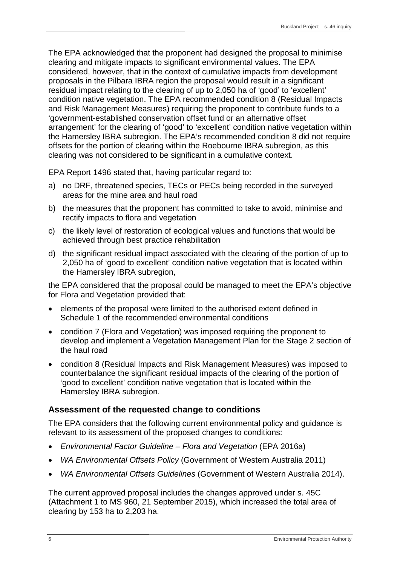The EPA acknowledged that the proponent had designed the proposal to minimise clearing and mitigate impacts to significant environmental values. The EPA considered, however, that in the context of cumulative impacts from development proposals in the Pilbara IBRA region the proposal would result in a significant residual impact relating to the clearing of up to 2,050 ha of 'good' to 'excellent' condition native vegetation. The EPA recommended condition 8 (Residual Impacts and Risk Management Measures) requiring the proponent to contribute funds to a 'government-established conservation offset fund or an alternative offset arrangement' for the clearing of 'good' to 'excellent' condition native vegetation within the Hamersley IBRA subregion. The EPA's recommended condition 8 did not require offsets for the portion of clearing within the Roebourne IBRA subregion, as this clearing was not considered to be significant in a cumulative context.

EPA Report 1496 stated that, having particular regard to:

- a) no DRF, threatened species, TECs or PECs being recorded in the surveyed areas for the mine area and haul road
- b) the measures that the proponent has committed to take to avoid, minimise and rectify impacts to flora and vegetation
- c) the likely level of restoration of ecological values and functions that would be achieved through best practice rehabilitation
- d) the significant residual impact associated with the clearing of the portion of up to 2,050 ha of 'good to excellent' condition native vegetation that is located within the Hamersley IBRA subregion,

the EPA considered that the proposal could be managed to meet the EPA's objective for Flora and Vegetation provided that:

- elements of the proposal were limited to the authorised extent defined in Schedule 1 of the recommended environmental conditions
- condition 7 (Flora and Vegetation) was imposed requiring the proponent to develop and implement a Vegetation Management Plan for the Stage 2 section of the haul road
- condition 8 (Residual Impacts and Risk Management Measures) was imposed to counterbalance the significant residual impacts of the clearing of the portion of 'good to excellent' condition native vegetation that is located within the Hamersley IBRA subregion.

#### **Assessment of the requested change to conditions**

The EPA considers that the following current environmental policy and guidance is relevant to its assessment of the proposed changes to conditions:

- *Environmental Factor Guideline – Flora and Vegetation* (EPA 2016a)
- *WA Environmental Offsets Policy* (Government of Western Australia 2011)
- *WA Environmental Offsets Guidelines* (Government of Western Australia 2014).

The current approved proposal includes the changes approved under s. 45C (Attachment 1 to MS 960, 21 September 2015), which increased the total area of clearing by 153 ha to 2,203 ha.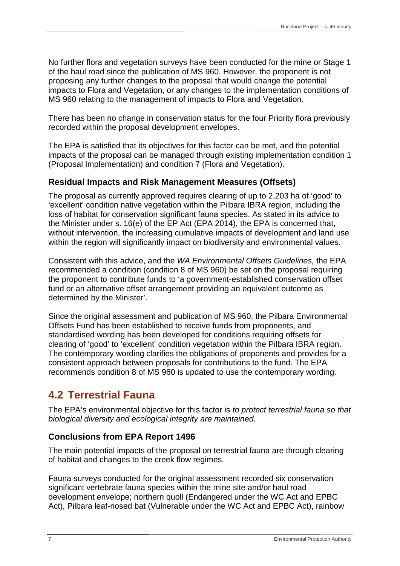<span id="page-9-0"></span>No further flora and vegetation surveys have been conducted for the mine or Stage 1 of the haul road since the publication of MS 960. However, the proponent is not proposing any further changes to the proposal that would change the potential impacts to Flora and Vegetation, or any changes to the implementation conditions of MS 960 relating to the management of impacts to Flora and Vegetation.

There has been no change in conservation status for the four Priority flora previously recorded within the proposal development envelopes.

The EPA is satisfied that its objectives for this factor can be met, and the potential impacts of the proposal can be managed through existing implementation condition 1 (Proposal Implementation) and condition 7 (Flora and Vegetation).

### **Residual Impacts and Risk Management Measures (Offsets)**

The proposal as currently approved requires clearing of up to 2,203 ha of 'good' to 'excellent' condition native vegetation within the Pilbara IBRA region, including the loss of habitat for conservation significant fauna species. As stated in its advice to the Minister under s. 16(e) of the EP Act (EPA 2014), the EPA is concerned that, without intervention, the increasing cumulative impacts of development and land use within the region will significantly impact on biodiversity and environmental values.

Consistent with this advice, and the *WA Environmental Offsets Guidelines,* the EPA recommended a condition (condition 8 of MS 960) be set on the proposal requiring the proponent to contribute funds to 'a government-established conservation offset fund or an alternative offset arrangement providing an equivalent outcome as determined by the Minister'.

Since the original assessment and publication of MS 960, the Pilbara Environmental Offsets Fund has been established to receive funds from proponents, and standardised wording has been developed for conditions requiring offsets for clearing of 'good' to 'excellent' condition vegetation within the Pilbara IBRA region. The contemporary wording clarifies the obligations of proponents and provides for a consistent approach between proposals for contributions to the fund. The EPA recommends condition 8 of MS 960 is updated to use the contemporary wording.

## **4.2 Terrestrial Fauna**

The EPA's environmental objective for this factor is *to protect terrestrial fauna so that biological diversity and ecological integrity are maintained.*

### **Conclusions from EPA Report 1496**

The main potential impacts of the proposal on terrestrial fauna are through clearing of habitat and changes to the creek flow regimes.

Fauna surveys conducted for the original assessment recorded six conservation significant vertebrate fauna species within the mine site and/or haul road development envelope; northern quoll (Endangered under the WC Act and EPBC Act), Pilbara leaf-nosed bat (Vulnerable under the WC Act and EPBC Act), rainbow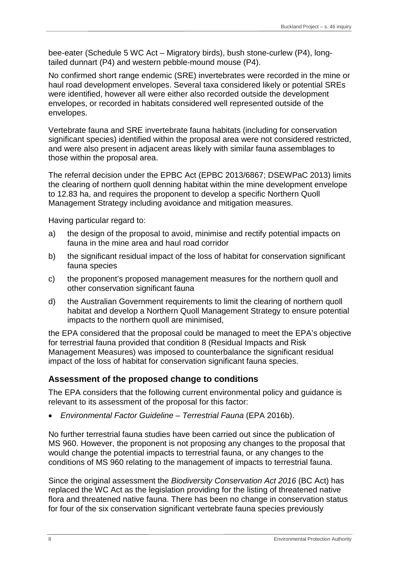bee-eater (Schedule 5 WC Act – Migratory birds), bush stone-curlew (P4), longtailed dunnart (P4) and western pebble-mound mouse (P4).

No confirmed short range endemic (SRE) invertebrates were recorded in the mine or haul road development envelopes. Several taxa considered likely or potential SREs were identified, however all were either also recorded outside the development envelopes, or recorded in habitats considered well represented outside of the envelopes.

Vertebrate fauna and SRE invertebrate fauna habitats (including for conservation significant species) identified within the proposal area were not considered restricted, and were also present in adjacent areas likely with similar fauna assemblages to those within the proposal area.

The referral decision under the EPBC Act (EPBC 2013/6867; DSEWPaC 2013) limits the clearing of northern quoll denning habitat within the mine development envelope to 12.83 ha, and requires the proponent to develop a specific Northern Quoll Management Strategy including avoidance and mitigation measures.

Having particular regard to:

- a) the design of the proposal to avoid, minimise and rectify potential impacts on fauna in the mine area and haul road corridor
- b) the significant residual impact of the loss of habitat for conservation significant fauna species
- c) the proponent's proposed management measures for the northern quoll and other conservation significant fauna
- d) the Australian Government requirements to limit the clearing of northern quoll habitat and develop a Northern Quoll Management Strategy to ensure potential impacts to the northern quoll are minimised,

the EPA considered that the proposal could be managed to meet the EPA's objective for terrestrial fauna provided that condition 8 (Residual Impacts and Risk Management Measures) was imposed to counterbalance the significant residual impact of the loss of habitat for conservation significant fauna species.

#### **Assessment of the proposed change to conditions**

The EPA considers that the following current environmental policy and guidance is relevant to its assessment of the proposal for this factor:

• *Environmental Factor Guideline – Terrestrial Fauna* (EPA 2016b).

No further terrestrial fauna studies have been carried out since the publication of MS 960. However, the proponent is not proposing any changes to the proposal that would change the potential impacts to terrestrial fauna, or any changes to the conditions of MS 960 relating to the management of impacts to terrestrial fauna.

Since the original assessment the *Biodiversity Conservation Act 2016* (BC Act) has replaced the WC Act as the legislation providing for the listing of threatened native flora and threatened native fauna. There has been no change in conservation status for four of the six conservation significant vertebrate fauna species previously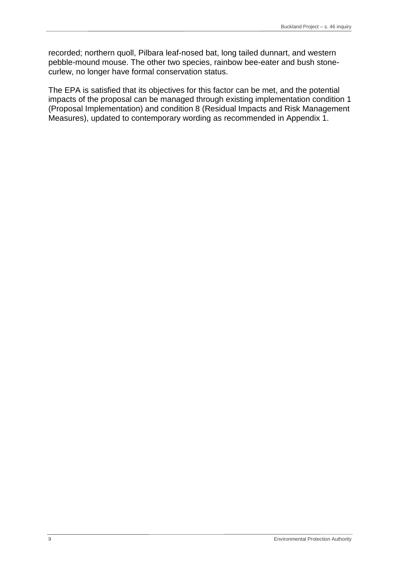recorded; northern quoll, Pilbara leaf-nosed bat, long tailed dunnart, and western pebble-mound mouse. The other two species, rainbow bee-eater and bush stonecurlew, no longer have formal conservation status.

The EPA is satisfied that its objectives for this factor can be met, and the potential impacts of the proposal can be managed through existing implementation condition 1 (Proposal Implementation) and condition 8 (Residual Impacts and Risk Management Measures), updated to contemporary wording as recommended in Appendix 1.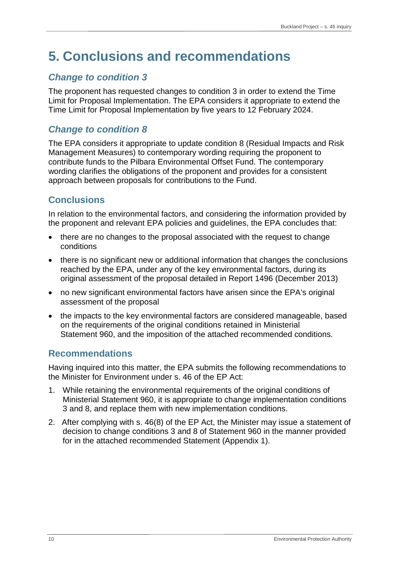# <span id="page-12-0"></span>**5. Conclusions and recommendations**

## *Change to condition 3*

The proponent has requested changes to condition 3 in order to extend the Time Limit for Proposal Implementation. The EPA considers it appropriate to extend the Time Limit for Proposal Implementation by five years to 12 February 2024.

## *Change to condition 8*

The EPA considers it appropriate to update condition 8 (Residual Impacts and Risk Management Measures) to contemporary wording requiring the proponent to contribute funds to the Pilbara Environmental Offset Fund. The contemporary wording clarifies the obligations of the proponent and provides for a consistent approach between proposals for contributions to the Fund.

## **Conclusions**

In relation to the environmental factors, and considering the information provided by the proponent and relevant EPA policies and guidelines, the EPA concludes that:

- there are no changes to the proposal associated with the request to change conditions
- there is no significant new or additional information that changes the conclusions reached by the EPA, under any of the key environmental factors, during its original assessment of the proposal detailed in Report 1496 (December 2013)
- no new significant environmental factors have arisen since the EPA's original assessment of the proposal
- the impacts to the key environmental factors are considered manageable, based on the requirements of the original conditions retained in Ministerial Statement 960, and the imposition of the attached recommended conditions.

## **Recommendations**

Having inquired into this matter, the EPA submits the following recommendations to the Minister for Environment under s. 46 of the EP Act:

- 1. While retaining the environmental requirements of the original conditions of Ministerial Statement 960, it is appropriate to change implementation conditions 3 and 8, and replace them with new implementation conditions.
- 2. After complying with s. 46(8) of the EP Act, the Minister may issue a statement of decision to change conditions 3 and 8 of Statement 960 in the manner provided for in the attached recommended Statement (Appendix 1).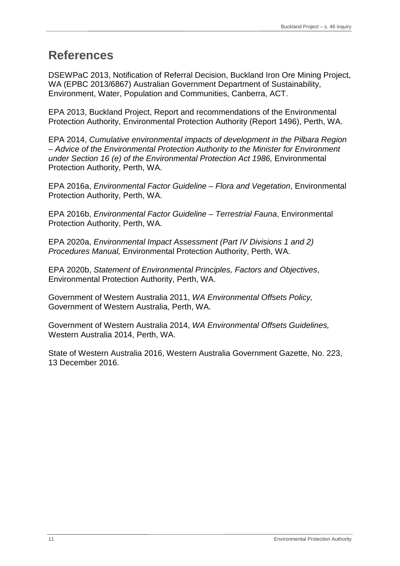## <span id="page-13-0"></span>**References**

DSEWPaC 2013, Notification of Referral Decision, Buckland Iron Ore Mining Project, WA (EPBC 2013/6867) Australian Government Department of Sustainability, Environment, Water, Population and Communities, Canberra, ACT.

EPA 2013, Buckland Project, Report and recommendations of the Environmental Protection Authority, Environmental Protection Authority (Report 1496), Perth, WA.

EPA 2014, *Cumulative environmental impacts of development in the Pilbara Region – Advice of the Environmental Protection Authority to the Minister for Environment under Section 16 (e) of the Environmental Protection Act 1986,* Environmental Protection Authority, Perth, WA.

EPA 2016a, *Environmental Factor Guideline – Flora and Vegetation*, Environmental Protection Authority, Perth, WA.

EPA 2016b, *Environmental Factor Guideline – Terrestrial Fauna*, Environmental Protection Authority, Perth, WA.

EPA 2020a, *Environmental Impact Assessment (Part IV Divisions 1 and 2) Procedures Manual,* Environmental Protection Authority, Perth, WA.

EPA 2020b, *Statement of Environmental Principles, Factors and Objectives*, Environmental Protection Authority, Perth, WA.

Government of Western Australia 2011, *WA Environmental Offsets Policy,*  Government of Western Australia, Perth, WA.

Government of Western Australia 2014, *WA Environmental Offsets Guidelines,*  Western Australia 2014, Perth, WA.

State of Western Australia 2016, Western Australia Government Gazette, No. 223, 13 December 2016.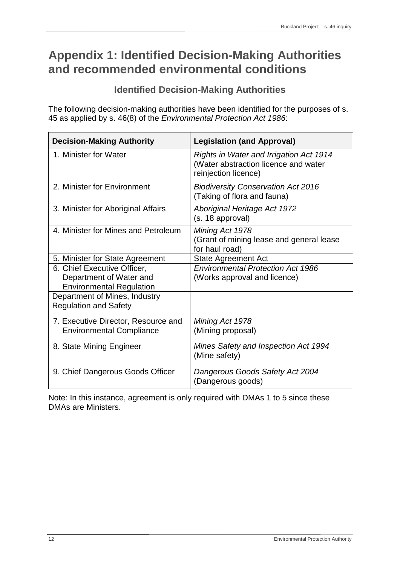## <span id="page-14-0"></span>**Appendix 1: Identified Decision-Making Authorities and recommended environmental conditions**

### **Identified Decision-Making Authorities**

The following decision-making authorities have been identified for the purposes of s. 45 as applied by s. 46(8) of the *Environmental Protection Act 1986*:

| <b>Decision-Making Authority</b>                                                          | <b>Legislation (and Approval)</b>                                                                              |
|-------------------------------------------------------------------------------------------|----------------------------------------------------------------------------------------------------------------|
| 1. Minister for Water                                                                     | <b>Rights in Water and Irrigation Act 1914</b><br>(Water abstraction licence and water<br>reinjection licence) |
| 2. Minister for Environment                                                               | <b>Biodiversity Conservation Act 2016</b><br>(Taking of flora and fauna)                                       |
| 3. Minister for Aboriginal Affairs                                                        | <b>Aboriginal Heritage Act 1972</b><br>(s. 18 approval)                                                        |
| 4. Minister for Mines and Petroleum                                                       | Mining Act 1978<br>(Grant of mining lease and general lease<br>for haul road)                                  |
| 5. Minister for State Agreement                                                           | <b>State Agreement Act</b>                                                                                     |
| 6. Chief Executive Officer,<br>Department of Water and<br><b>Environmental Regulation</b> | <b>Environmental Protection Act 1986</b><br>(Works approval and licence)                                       |
| Department of Mines, Industry<br><b>Regulation and Safety</b>                             |                                                                                                                |
| 7. Executive Director, Resource and<br><b>Environmental Compliance</b>                    | Mining Act 1978<br>(Mining proposal)                                                                           |
| 8. State Mining Engineer                                                                  | Mines Safety and Inspection Act 1994<br>(Mine safety)                                                          |
| 9. Chief Dangerous Goods Officer                                                          | Dangerous Goods Safety Act 2004<br>(Dangerous goods)                                                           |

Note: In this instance, agreement is only required with DMAs 1 to 5 since these DMAs are Ministers.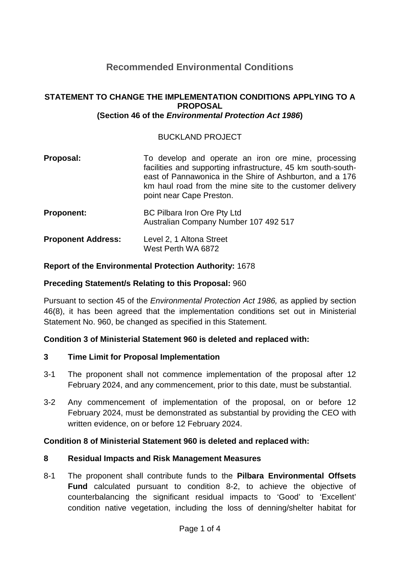## **Recommended Environmental Conditions**

#### **STATEMENT TO CHANGE THE IMPLEMENTATION CONDITIONS APPLYING TO A PROPOSAL (Section 46 of the** *Environmental Protection Act 1986***)**

#### BUCKLAND PROJECT

| Proposal:                 | To develop and operate an iron ore mine, processing<br>facilities and supporting infrastructure, 45 km south-south-<br>east of Pannawonica in the Shire of Ashburton, and a 176<br>km haul road from the mine site to the customer delivery<br>point near Cape Preston. |
|---------------------------|-------------------------------------------------------------------------------------------------------------------------------------------------------------------------------------------------------------------------------------------------------------------------|
| <b>Proponent:</b>         | BC Pilbara Iron Ore Pty Ltd<br>Australian Company Number 107 492 517                                                                                                                                                                                                    |
| <b>Proponent Address:</b> | Level 2, 1 Altona Street<br>West Perth WA 6872                                                                                                                                                                                                                          |

#### **Report of the Environmental Protection Authority:** 1678

#### **Preceding Statement/s Relating to this Proposal:** 960

Pursuant to section 45 of the *Environmental Protection Act 1986,* as applied by section 46(8), it has been agreed that the implementation conditions set out in Ministerial Statement No. 960, be changed as specified in this Statement.

#### **Condition 3 of Ministerial Statement 960 is deleted and replaced with:**

#### **3 Time Limit for Proposal Implementation**

- 3-1 The proponent shall not commence implementation of the proposal after 12 February 2024, and any commencement, prior to this date, must be substantial.
- 3-2 Any commencement of implementation of the proposal, on or before 12 February 2024, must be demonstrated as substantial by providing the CEO with written evidence, on or before 12 February 2024.

#### **Condition 8 of Ministerial Statement 960 is deleted and replaced with:**

#### **8 Residual Impacts and Risk Management Measures**

8-1 The proponent shall contribute funds to the **Pilbara Environmental Offsets Fund** calculated pursuant to condition 8-2, to achieve the objective of counterbalancing the significant residual impacts to 'Good' to 'Excellent' condition native vegetation, including the loss of denning/shelter habitat for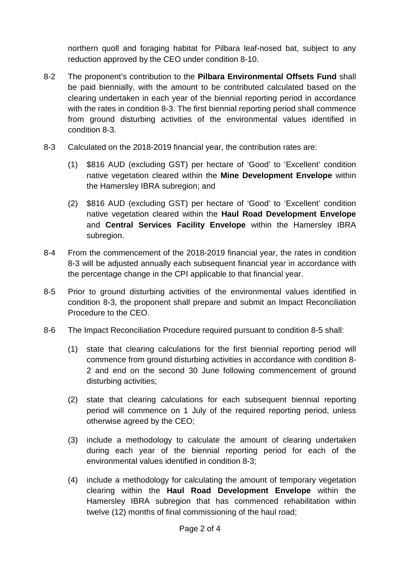northern quoll and foraging habitat for Pilbara leaf-nosed bat, subject to any reduction approved by the CEO under condition 8-10.

- 8-2 The proponent's contribution to the **Pilbara Environmental Offsets Fund** shall be paid biennially, with the amount to be contributed calculated based on the clearing undertaken in each year of the biennial reporting period in accordance with the rates in condition 8-3. The first biennial reporting period shall commence from ground disturbing activities of the environmental values identified in condition 8-3.
- 8-3 Calculated on the 2018-2019 financial year, the contribution rates are:
	- (1) \$816 AUD (excluding GST) per hectare of 'Good' to 'Excellent' condition native vegetation cleared within the **Mine Development Envelope** within the Hamersley IBRA subregion; and
	- (2) \$816 AUD (excluding GST) per hectare of 'Good' to 'Excellent' condition native vegetation cleared within the **Haul Road Development Envelope** and **Central Services Facility Envelope** within the Hamersley IBRA subregion.
- 8-4 From the commencement of the 2018-2019 financial year, the rates in condition 8-3 will be adjusted annually each subsequent financial year in accordance with the percentage change in the CPI applicable to that financial year.
- 8-5 Prior to ground disturbing activities of the environmental values identified in condition 8-3, the proponent shall prepare and submit an Impact Reconciliation Procedure to the CEO.
- 8-6 The Impact Reconciliation Procedure required pursuant to condition 8-5 shall:
	- (1) state that clearing calculations for the first biennial reporting period will commence from ground disturbing activities in accordance with condition 8- 2 and end on the second 30 June following commencement of ground disturbing activities;
	- (2) state that clearing calculations for each subsequent biennial reporting period will commence on 1 July of the required reporting period, unless otherwise agreed by the CEO;
	- (3) include a methodology to calculate the amount of clearing undertaken during each year of the biennial reporting period for each of the environmental values identified in condition 8-3;
	- (4) include a methodology for calculating the amount of temporary vegetation clearing within the **Haul Road Development Envelope** within the Hamersley IBRA subregion that has commenced rehabilitation within twelve (12) months of final commissioning of the haul road;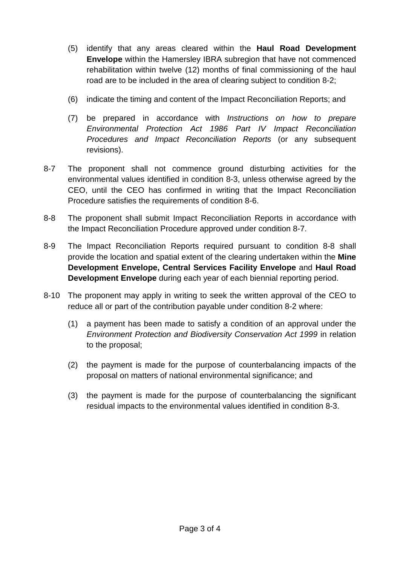- (5) identify that any areas cleared within the **Haul Road Development Envelope** within the Hamersley IBRA subregion that have not commenced rehabilitation within twelve (12) months of final commissioning of the haul road are to be included in the area of clearing subject to condition 8-2;
- (6) indicate the timing and content of the Impact Reconciliation Reports; and
- (7) be prepared in accordance with *Instructions on how to prepare Environmental Protection Act 1986 Part IV Impact Reconciliation Procedures and Impact Reconciliation Reports* (or any subsequent revisions).
- 8-7 The proponent shall not commence ground disturbing activities for the environmental values identified in condition 8-3, unless otherwise agreed by the CEO, until the CEO has confirmed in writing that the Impact Reconciliation Procedure satisfies the requirements of condition 8-6.
- 8-8 The proponent shall submit Impact Reconciliation Reports in accordance with the Impact Reconciliation Procedure approved under condition 8-7.
- 8-9 The Impact Reconciliation Reports required pursuant to condition 8-8 shall provide the location and spatial extent of the clearing undertaken within the **Mine Development Envelope, Central Services Facility Envelope** and **Haul Road Development Envelope** during each year of each biennial reporting period.
- 8-10 The proponent may apply in writing to seek the written approval of the CEO to reduce all or part of the contribution payable under condition 8-2 where:
	- (1) a payment has been made to satisfy a condition of an approval under the *Environment Protection and Biodiversity Conservation Act 1999* in relation to the proposal;
	- (2) the payment is made for the purpose of counterbalancing impacts of the proposal on matters of national environmental significance; and
	- (3) the payment is made for the purpose of counterbalancing the significant residual impacts to the environmental values identified in condition 8-3.